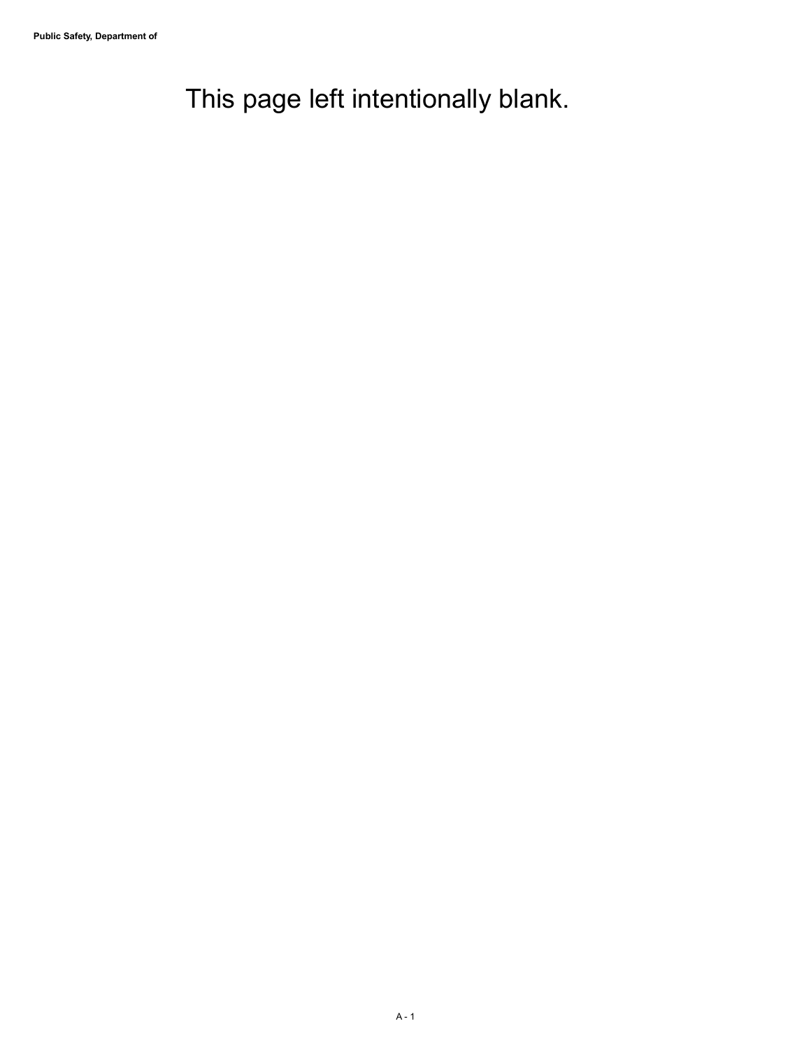This page left intentionally blank.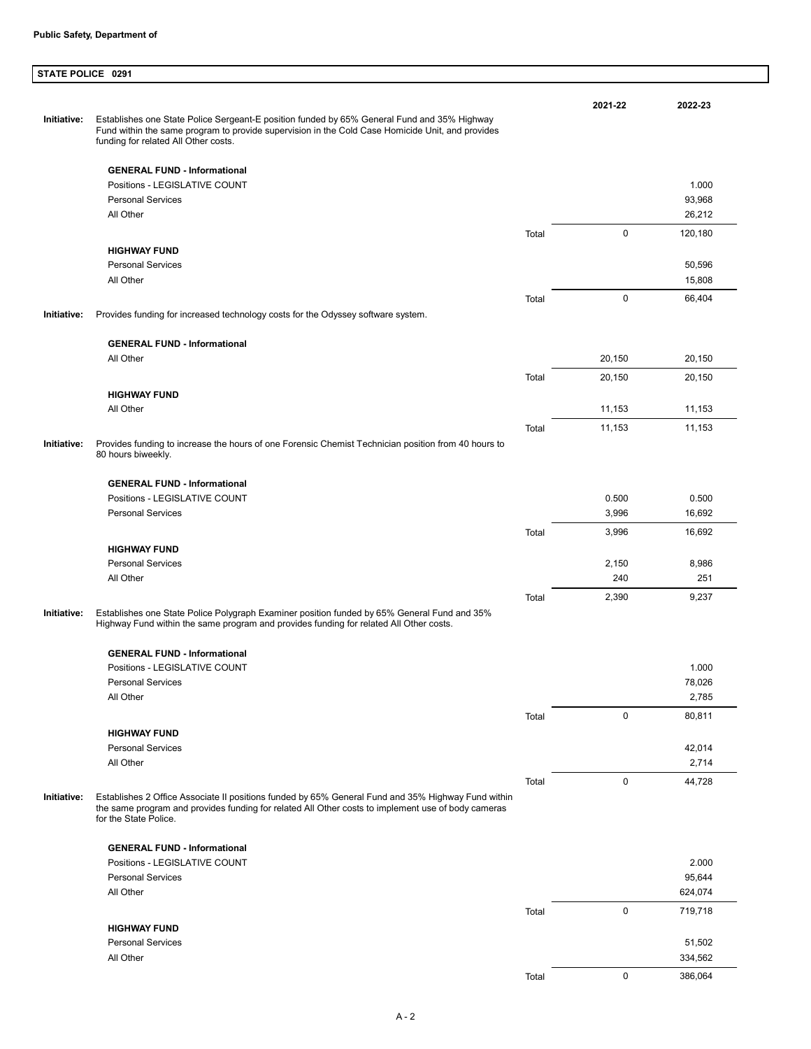| STATE POLICE 0291 |                                                                                                                                                                                                                                         |       |             |         |
|-------------------|-----------------------------------------------------------------------------------------------------------------------------------------------------------------------------------------------------------------------------------------|-------|-------------|---------|
|                   |                                                                                                                                                                                                                                         |       | 2021-22     | 2022-23 |
| Initiative:       | Establishes one State Police Sergeant-E position funded by 65% General Fund and 35% Highway<br>Fund within the same program to provide supervision in the Cold Case Homicide Unit, and provides<br>funding for related All Other costs. |       |             |         |
|                   | <b>GENERAL FUND - Informational</b>                                                                                                                                                                                                     |       |             |         |
|                   | Positions - LEGISLATIVE COUNT                                                                                                                                                                                                           |       |             | 1.000   |
|                   | <b>Personal Services</b>                                                                                                                                                                                                                |       |             | 93,968  |
|                   | All Other                                                                                                                                                                                                                               |       |             | 26.212  |
|                   |                                                                                                                                                                                                                                         | Total | $\mathbf 0$ | 120,180 |
|                   |                                                                                                                                                                                                                                         |       |             |         |
|                   | <b>HIGHWAY FUND</b><br><b>Personal Services</b>                                                                                                                                                                                         |       |             | 50,596  |
|                   | All Other                                                                                                                                                                                                                               |       |             | 15,808  |
|                   |                                                                                                                                                                                                                                         |       |             |         |
|                   |                                                                                                                                                                                                                                         | Total | $\mathbf 0$ | 66,404  |
| Initiative:       | Provides funding for increased technology costs for the Odyssey software system.                                                                                                                                                        |       |             |         |
|                   |                                                                                                                                                                                                                                         |       |             |         |
|                   | <b>GENERAL FUND - Informational</b>                                                                                                                                                                                                     |       |             |         |
|                   | All Other                                                                                                                                                                                                                               |       | 20,150      | 20,150  |
|                   |                                                                                                                                                                                                                                         | Total | 20,150      | 20,150  |
|                   | <b>HIGHWAY FUND</b>                                                                                                                                                                                                                     |       |             |         |
|                   | All Other                                                                                                                                                                                                                               |       | 11,153      | 11,153  |
|                   |                                                                                                                                                                                                                                         | Total | 11,153      | 11,153  |
| Initiative:       | Provides funding to increase the hours of one Forensic Chemist Technician position from 40 hours to<br>80 hours biweekly.                                                                                                               |       |             |         |
|                   | <b>GENERAL FUND - Informational</b>                                                                                                                                                                                                     |       |             |         |
|                   | Positions - LEGISLATIVE COUNT                                                                                                                                                                                                           |       | 0.500       | 0.500   |
|                   | <b>Personal Services</b>                                                                                                                                                                                                                |       | 3,996       | 16,692  |
|                   |                                                                                                                                                                                                                                         |       |             | 16,692  |
|                   |                                                                                                                                                                                                                                         | Total | 3,996       |         |
|                   | <b>HIGHWAY FUND</b>                                                                                                                                                                                                                     |       |             |         |
|                   | <b>Personal Services</b>                                                                                                                                                                                                                |       | 2,150       | 8,986   |
|                   | All Other                                                                                                                                                                                                                               |       | 240         | 251     |
| Initiative:       | Establishes one State Police Polygraph Examiner position funded by 65% General Fund and 35%<br>Highway Fund within the same program and provides funding for related All Other costs.                                                   | Total | 2,390       | 9,237   |
|                   | <b>GENERAL FUND - Informational</b>                                                                                                                                                                                                     |       |             |         |
|                   | Positions - LEGISLATIVE COUNT                                                                                                                                                                                                           |       |             | 1.000   |
|                   | <b>Personal Services</b>                                                                                                                                                                                                                |       |             | 78,026  |
|                   | All Other                                                                                                                                                                                                                               |       |             | 2,785   |
|                   |                                                                                                                                                                                                                                         | Total | $\mathbf 0$ | 80,811  |
|                   | <b>HIGHWAY FUND</b>                                                                                                                                                                                                                     |       |             |         |
|                   | <b>Personal Services</b>                                                                                                                                                                                                                |       |             | 42,014  |
|                   | All Other                                                                                                                                                                                                                               |       |             | 2,714   |
|                   |                                                                                                                                                                                                                                         |       |             |         |
|                   |                                                                                                                                                                                                                                         | Total | $\mathbf 0$ | 44,728  |
| Initiative:       | Establishes 2 Office Associate II positions funded by 65% General Fund and 35% Highway Fund within<br>the same program and provides funding for related All Other costs to implement use of body cameras<br>for the State Police.       |       |             |         |
|                   | <b>GENERAL FUND - Informational</b>                                                                                                                                                                                                     |       |             |         |
|                   | Positions - LEGISLATIVE COUNT                                                                                                                                                                                                           |       |             | 2.000   |
|                   | <b>Personal Services</b>                                                                                                                                                                                                                |       |             | 95,644  |
|                   | All Other                                                                                                                                                                                                                               |       |             | 624,074 |
|                   |                                                                                                                                                                                                                                         | Total | $\mathsf 0$ | 719,718 |
|                   |                                                                                                                                                                                                                                         |       |             |         |
|                   | <b>HIGHWAY FUND</b>                                                                                                                                                                                                                     |       |             |         |
|                   | <b>Personal Services</b>                                                                                                                                                                                                                |       |             | 51,502  |
|                   | All Other                                                                                                                                                                                                                               |       |             | 334,562 |
|                   |                                                                                                                                                                                                                                         | Total | 0           | 386,064 |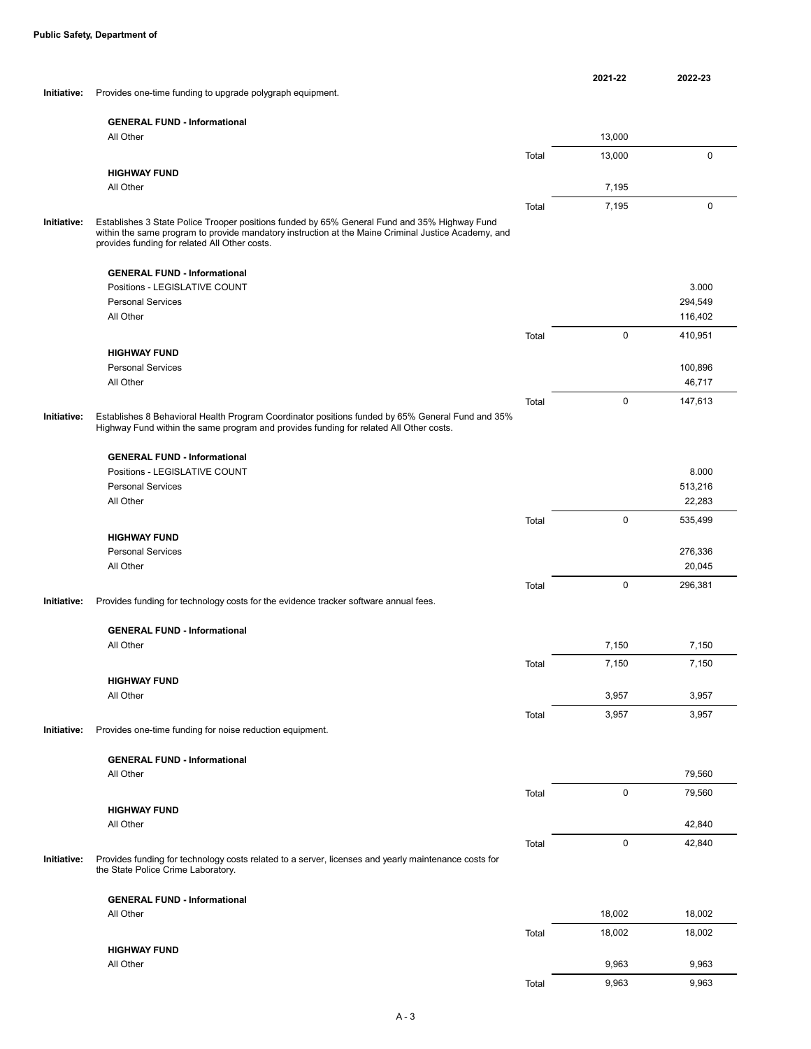Initiative: Provides one-time funding to upgrade polygraph equipment.

|             | i rovides one-time furionity to upgrade porygraph equipment.                                                                                                                                                                                         |       |             |             |
|-------------|------------------------------------------------------------------------------------------------------------------------------------------------------------------------------------------------------------------------------------------------------|-------|-------------|-------------|
|             | <b>GENERAL FUND - Informational</b>                                                                                                                                                                                                                  |       |             |             |
|             | All Other                                                                                                                                                                                                                                            |       | 13,000      |             |
|             |                                                                                                                                                                                                                                                      | Total | 13,000      | $\mathsf 0$ |
|             | <b>HIGHWAY FUND</b>                                                                                                                                                                                                                                  |       |             |             |
|             | All Other                                                                                                                                                                                                                                            |       | 7,195       |             |
|             |                                                                                                                                                                                                                                                      | Total | 7,195       | $\mathbf 0$ |
| Initiative: | Establishes 3 State Police Trooper positions funded by 65% General Fund and 35% Highway Fund<br>within the same program to provide mandatory instruction at the Maine Criminal Justice Academy, and<br>provides funding for related All Other costs. |       |             |             |
|             | <b>GENERAL FUND - Informational</b>                                                                                                                                                                                                                  |       |             |             |
|             | Positions - LEGISLATIVE COUNT                                                                                                                                                                                                                        |       |             | 3.000       |
|             | <b>Personal Services</b>                                                                                                                                                                                                                             |       |             | 294,549     |
|             | All Other                                                                                                                                                                                                                                            |       |             | 116,402     |
|             |                                                                                                                                                                                                                                                      | Total | $\mathbf 0$ | 410,951     |
|             | <b>HIGHWAY FUND</b>                                                                                                                                                                                                                                  |       |             |             |
|             | <b>Personal Services</b>                                                                                                                                                                                                                             |       |             | 100,896     |
|             | All Other                                                                                                                                                                                                                                            |       |             | 46,717      |
|             |                                                                                                                                                                                                                                                      | Total | 0           | 147,613     |
| Initiative: | Establishes 8 Behavioral Health Program Coordinator positions funded by 65% General Fund and 35%<br>Highway Fund within the same program and provides funding for related All Other costs.                                                           |       |             |             |
|             | <b>GENERAL FUND - Informational</b>                                                                                                                                                                                                                  |       |             |             |
|             | Positions - LEGISLATIVE COUNT                                                                                                                                                                                                                        |       |             | 8.000       |
|             | <b>Personal Services</b>                                                                                                                                                                                                                             |       |             | 513,216     |
|             | All Other                                                                                                                                                                                                                                            |       |             | 22,283      |
|             |                                                                                                                                                                                                                                                      | Total | $\mathsf 0$ | 535,499     |
|             | <b>HIGHWAY FUND</b>                                                                                                                                                                                                                                  |       |             |             |
|             | <b>Personal Services</b>                                                                                                                                                                                                                             |       |             | 276,336     |
|             | All Other                                                                                                                                                                                                                                            |       |             | 20,045      |
|             |                                                                                                                                                                                                                                                      | Total | $\pmb{0}$   | 296,381     |
| Initiative: | Provides funding for technology costs for the evidence tracker software annual fees.                                                                                                                                                                 |       |             |             |
|             |                                                                                                                                                                                                                                                      |       |             |             |
|             | <b>GENERAL FUND - Informational</b>                                                                                                                                                                                                                  |       |             |             |
|             | All Other                                                                                                                                                                                                                                            |       | 7,150       | 7,150       |
|             |                                                                                                                                                                                                                                                      | Total | 7,150       | 7,150       |
|             | <b>HIGHWAY FUND</b>                                                                                                                                                                                                                                  |       |             |             |
|             | All Other                                                                                                                                                                                                                                            |       | 3,957       | 3,957       |
|             |                                                                                                                                                                                                                                                      | Total | 3,957       | 3,957       |
| Initiative: | Provides one-time funding for noise reduction equipment.                                                                                                                                                                                             |       |             |             |
|             | <b>GENERAL FUND - Informational</b>                                                                                                                                                                                                                  |       |             |             |
|             | All Other                                                                                                                                                                                                                                            |       |             | 79,560      |
|             |                                                                                                                                                                                                                                                      | Total | $\pmb{0}$   | 79,560      |
|             |                                                                                                                                                                                                                                                      |       |             |             |
|             | <b>HIGHWAY FUND</b><br>All Other                                                                                                                                                                                                                     |       |             | 42,840      |
|             |                                                                                                                                                                                                                                                      |       | 0           | 42,840      |
| Initiative: | Provides funding for technology costs related to a server, licenses and yearly maintenance costs for<br>the State Police Crime Laboratory.                                                                                                           | Total |             |             |
|             |                                                                                                                                                                                                                                                      |       |             |             |
|             | <b>GENERAL FUND - Informational</b><br>All Other                                                                                                                                                                                                     |       | 18,002      | 18,002      |
|             |                                                                                                                                                                                                                                                      |       |             |             |
|             |                                                                                                                                                                                                                                                      | Total | 18,002      | 18,002      |
|             | <b>HIGHWAY FUND</b><br>All Other                                                                                                                                                                                                                     |       | 9,963       | 9,963       |
|             |                                                                                                                                                                                                                                                      |       |             |             |
|             |                                                                                                                                                                                                                                                      | Total | 9,963       | 9,963       |

2021-22 2022-23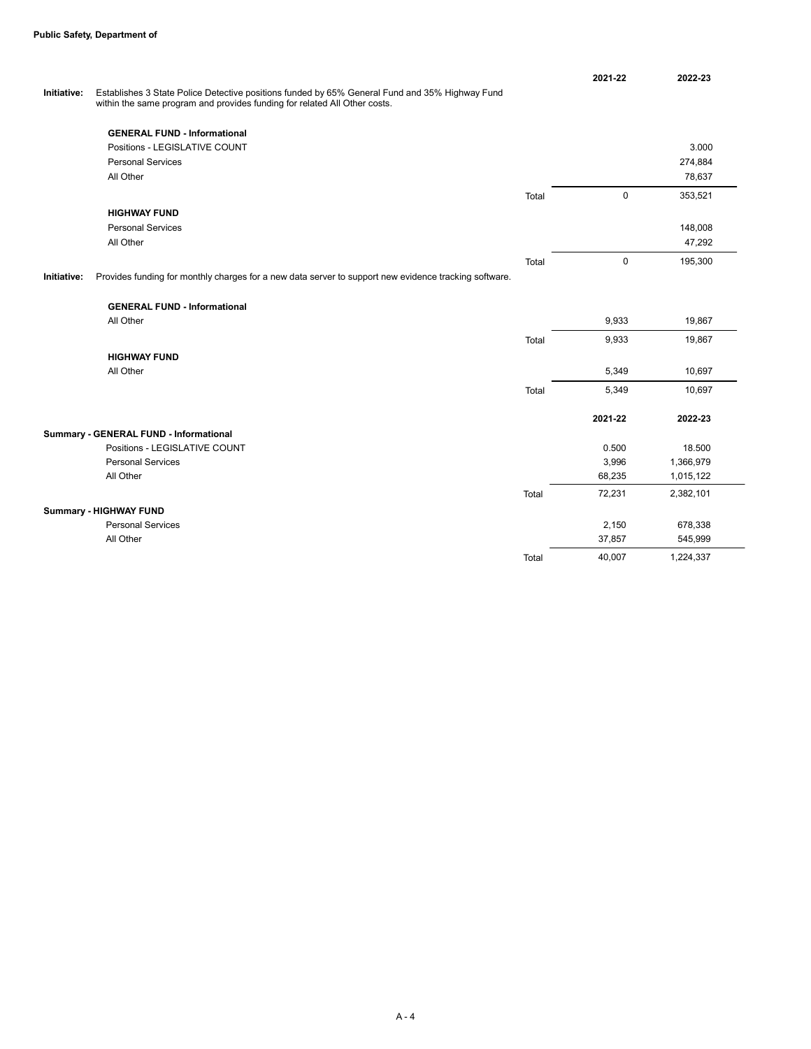|             |                                                                                                                                                                             |       | 2021-22 | 2022-23   |
|-------------|-----------------------------------------------------------------------------------------------------------------------------------------------------------------------------|-------|---------|-----------|
| Initiative: | Establishes 3 State Police Detective positions funded by 65% General Fund and 35% Highway Fund<br>within the same program and provides funding for related All Other costs. |       |         |           |
|             | <b>GENERAL FUND - Informational</b>                                                                                                                                         |       |         |           |
|             | Positions - LEGISLATIVE COUNT                                                                                                                                               |       |         | 3.000     |
|             | <b>Personal Services</b>                                                                                                                                                    |       |         | 274,884   |
|             | All Other                                                                                                                                                                   |       |         | 78,637    |
|             |                                                                                                                                                                             | Total | 0       | 353,521   |
|             | <b>HIGHWAY FUND</b>                                                                                                                                                         |       |         |           |
|             | <b>Personal Services</b>                                                                                                                                                    |       |         | 148,008   |
|             | All Other                                                                                                                                                                   |       |         | 47,292    |
|             |                                                                                                                                                                             | Total | 0       | 195,300   |
| Initiative: | Provides funding for monthly charges for a new data server to support new evidence tracking software.                                                                       |       |         |           |
|             |                                                                                                                                                                             |       |         |           |
|             | <b>GENERAL FUND - Informational</b>                                                                                                                                         |       |         |           |
|             | All Other                                                                                                                                                                   |       | 9,933   | 19,867    |
|             |                                                                                                                                                                             | Total | 9,933   | 19,867    |
|             | <b>HIGHWAY FUND</b>                                                                                                                                                         |       |         |           |
|             | All Other                                                                                                                                                                   |       | 5,349   | 10,697    |
|             |                                                                                                                                                                             | Total | 5,349   | 10,697    |
|             |                                                                                                                                                                             |       | 2021-22 | 2022-23   |
|             | Summary - GENERAL FUND - Informational                                                                                                                                      |       |         |           |
|             | Positions - LEGISLATIVE COUNT                                                                                                                                               |       | 0.500   | 18.500    |
|             | <b>Personal Services</b>                                                                                                                                                    |       | 3,996   | 1,366,979 |
|             | All Other                                                                                                                                                                   |       | 68,235  | 1,015,122 |
|             |                                                                                                                                                                             | Total | 72,231  | 2,382,101 |
|             | <b>Summary - HIGHWAY FUND</b>                                                                                                                                               |       |         |           |
|             | <b>Personal Services</b>                                                                                                                                                    |       | 2,150   | 678,338   |
|             | All Other                                                                                                                                                                   |       | 37,857  | 545,999   |

Total 40,007 1,224,337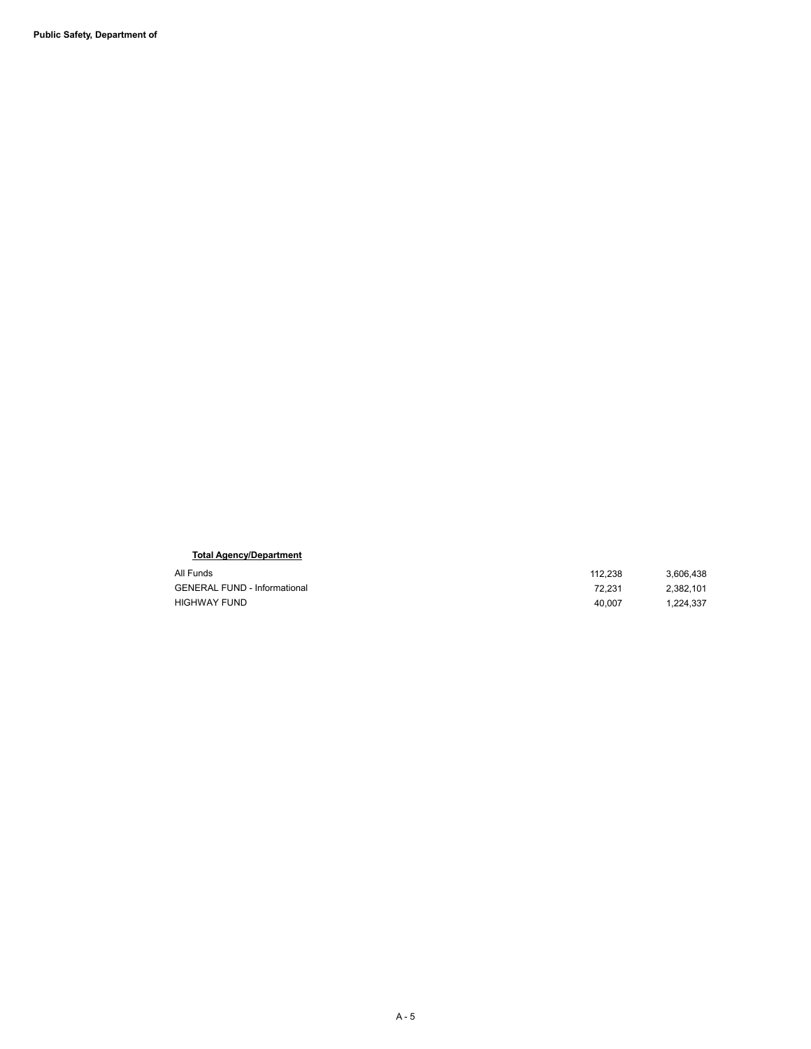Public Safety, Department of

## Total Agency/Department

| All Funds                           | 112.238 | 3.606.438 |
|-------------------------------------|---------|-----------|
| <b>GENERAL FUND - Informational</b> | 72.231  | 2.382.101 |
| <b>HIGHWAY FUND</b>                 | 40.007  | 1.224.337 |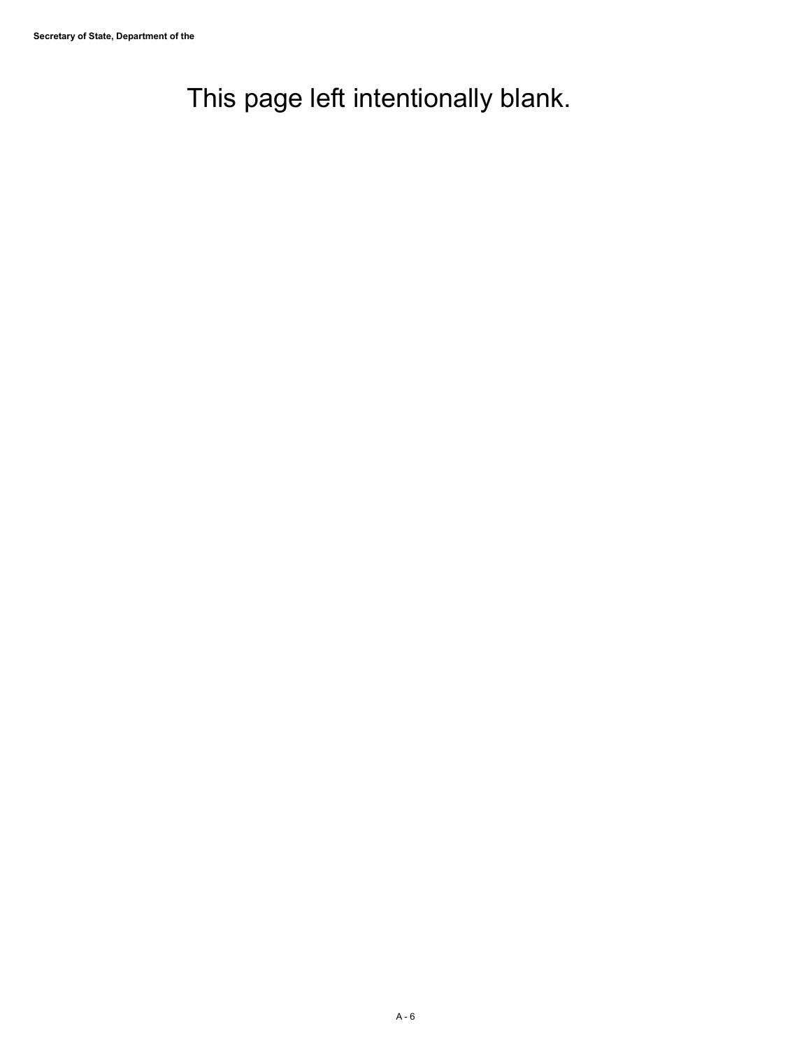This page left intentionally blank.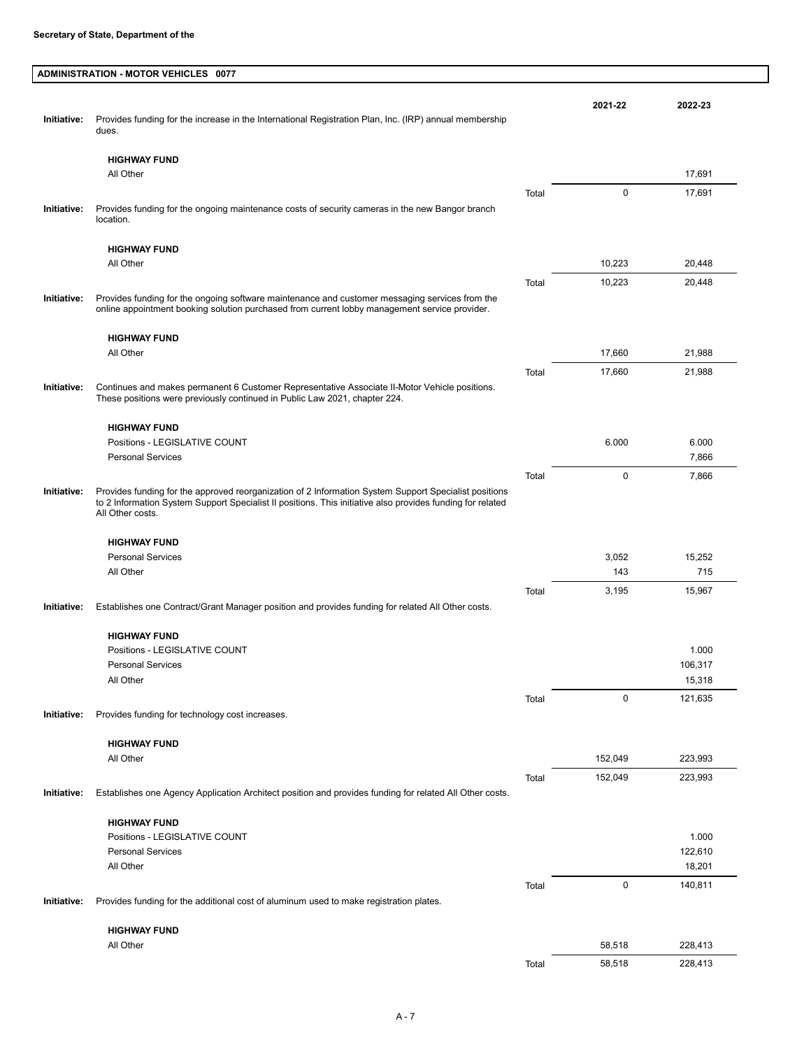|             | ADMINISTRATION - MOTOR VEHICLES 0077                                                                                                                                                                                                    |       |           |                  |
|-------------|-----------------------------------------------------------------------------------------------------------------------------------------------------------------------------------------------------------------------------------------|-------|-----------|------------------|
|             |                                                                                                                                                                                                                                         |       | 2021-22   | 2022-23          |
| Initiative: | Provides funding for the increase in the International Registration Plan, Inc. (IRP) annual membership<br>dues.                                                                                                                         |       |           |                  |
|             | <b>HIGHWAY FUND</b><br>All Other                                                                                                                                                                                                        |       |           | 17,691           |
|             |                                                                                                                                                                                                                                         | Total | 0         | 17,691           |
| Initiative: | Provides funding for the ongoing maintenance costs of security cameras in the new Bangor branch<br>location.                                                                                                                            |       |           |                  |
|             | <b>HIGHWAY FUND</b>                                                                                                                                                                                                                     |       |           |                  |
|             | All Other                                                                                                                                                                                                                               |       | 10,223    | 20,448           |
| Initiative: | Provides funding for the ongoing software maintenance and customer messaging services from the<br>online appointment booking solution purchased from current lobby management service provider.                                         | Total | 10,223    | 20,448           |
|             | <b>HIGHWAY FUND</b>                                                                                                                                                                                                                     |       |           |                  |
|             | All Other                                                                                                                                                                                                                               |       | 17,660    | 21,988           |
| Initiative: | Continues and makes permanent 6 Customer Representative Associate II-Motor Vehicle positions.                                                                                                                                           | Total | 17,660    | 21,988           |
|             | These positions were previously continued in Public Law 2021, chapter 224.                                                                                                                                                              |       |           |                  |
|             | <b>HIGHWAY FUND</b>                                                                                                                                                                                                                     |       |           |                  |
|             | Positions - LEGISLATIVE COUNT                                                                                                                                                                                                           |       | 6.000     | 6.000            |
|             | <b>Personal Services</b>                                                                                                                                                                                                                | Total | $\pmb{0}$ | 7,866<br>7,866   |
| Initiative: | Provides funding for the approved reorganization of 2 Information System Support Specialist positions<br>to 2 Information System Support Specialist II positions. This initiative also provides funding for related<br>All Other costs. |       |           |                  |
|             | <b>HIGHWAY FUND</b>                                                                                                                                                                                                                     |       |           |                  |
|             | <b>Personal Services</b>                                                                                                                                                                                                                |       | 3,052     | 15,252           |
|             | All Other                                                                                                                                                                                                                               |       | 143       | 715              |
| Initiative: | Establishes one Contract/Grant Manager position and provides funding for related All Other costs.                                                                                                                                       | Total | 3,195     | 15,967           |
|             | <b>HIGHWAY FUND</b>                                                                                                                                                                                                                     |       |           |                  |
|             | Positions - LEGISLATIVE COUNT                                                                                                                                                                                                           |       |           | 1.000            |
|             | <b>Personal Services</b>                                                                                                                                                                                                                |       |           | 106,317          |
|             | All Other                                                                                                                                                                                                                               |       |           | 15,318           |
| Initiative: | Provides funding for technology cost increases.                                                                                                                                                                                         | Total | $\pmb{0}$ | 121,635          |
|             | <b>HIGHWAY FUND</b>                                                                                                                                                                                                                     |       |           |                  |
|             | All Other                                                                                                                                                                                                                               |       | 152,049   | 223,993          |
|             |                                                                                                                                                                                                                                         | Total | 152,049   | 223,993          |
| Initiative: | Establishes one Agency Application Architect position and provides funding for related All Other costs.                                                                                                                                 |       |           |                  |
|             | <b>HIGHWAY FUND</b>                                                                                                                                                                                                                     |       |           |                  |
|             | Positions - LEGISLATIVE COUNT<br><b>Personal Services</b>                                                                                                                                                                               |       |           | 1.000<br>122,610 |
|             | All Other                                                                                                                                                                                                                               |       |           | 18,201           |
|             |                                                                                                                                                                                                                                         | Total | $\pmb{0}$ | 140,811          |
| Initiative: | Provides funding for the additional cost of aluminum used to make registration plates.                                                                                                                                                  |       |           |                  |
|             | <b>HIGHWAY FUND</b><br>All Other                                                                                                                                                                                                        |       | 58,518    | 228,413          |
|             |                                                                                                                                                                                                                                         | Total | 58,518    | 228,413          |
|             |                                                                                                                                                                                                                                         |       |           |                  |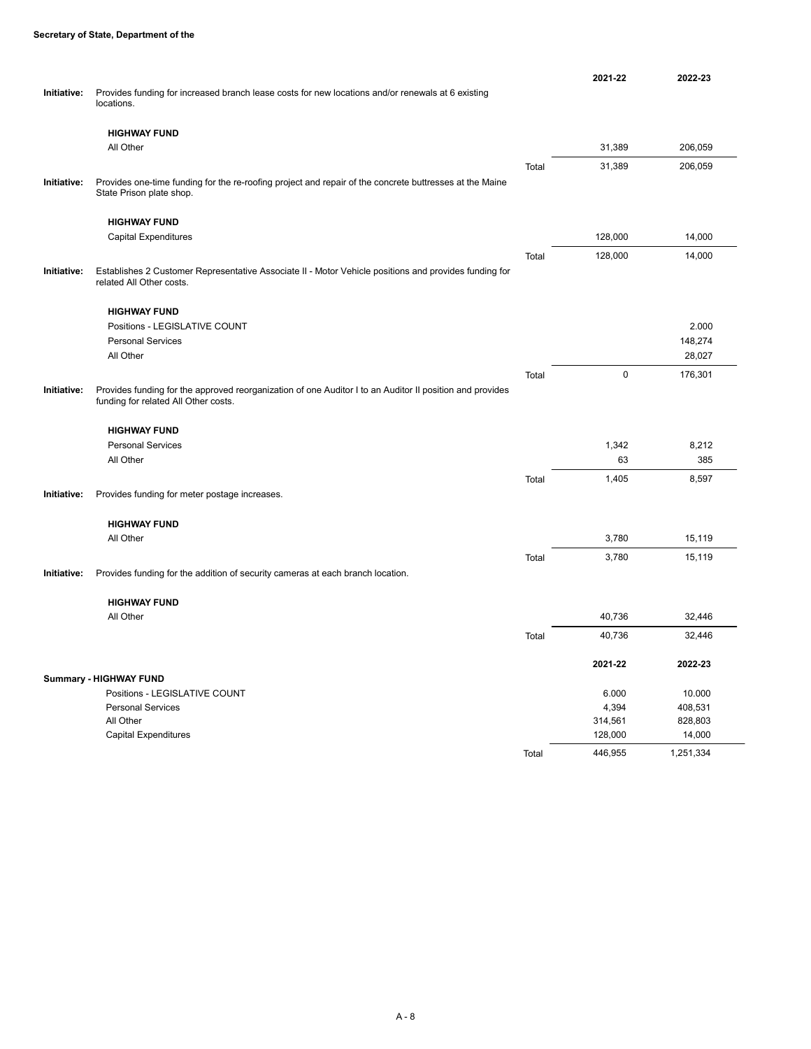|             |                                                                                                                                                  |       | 2021-22            | 2022-23           |
|-------------|--------------------------------------------------------------------------------------------------------------------------------------------------|-------|--------------------|-------------------|
| Initiative: | Provides funding for increased branch lease costs for new locations and/or renewals at 6 existing<br>locations.                                  |       |                    |                   |
|             | <b>HIGHWAY FUND</b>                                                                                                                              |       |                    |                   |
|             | All Other                                                                                                                                        |       | 31,389             | 206,059           |
|             |                                                                                                                                                  | Total | 31,389             | 206,059           |
| Initiative: | Provides one-time funding for the re-roofing project and repair of the concrete buttresses at the Maine<br>State Prison plate shop.              |       |                    |                   |
|             | <b>HIGHWAY FUND</b>                                                                                                                              |       |                    |                   |
|             | <b>Capital Expenditures</b>                                                                                                                      |       | 128,000            | 14,000            |
|             |                                                                                                                                                  | Total | 128,000            | 14,000            |
| Initiative: | Establishes 2 Customer Representative Associate II - Motor Vehicle positions and provides funding for<br>related All Other costs.                |       |                    |                   |
|             | <b>HIGHWAY FUND</b>                                                                                                                              |       |                    |                   |
|             | Positions - LEGISLATIVE COUNT                                                                                                                    |       |                    | 2.000             |
|             | <b>Personal Services</b>                                                                                                                         |       |                    | 148,274           |
|             | All Other                                                                                                                                        |       |                    | 28,027            |
|             |                                                                                                                                                  | Total | $\mathbf 0$        | 176,301           |
| Initiative: | Provides funding for the approved reorganization of one Auditor I to an Auditor II position and provides<br>funding for related All Other costs. |       |                    |                   |
|             | <b>HIGHWAY FUND</b>                                                                                                                              |       |                    |                   |
|             | <b>Personal Services</b>                                                                                                                         |       | 1,342              | 8,212             |
|             | All Other                                                                                                                                        |       | 63                 | 385               |
|             |                                                                                                                                                  | Total | 1,405              | 8,597             |
| Initiative: | Provides funding for meter postage increases.                                                                                                    |       |                    |                   |
|             | <b>HIGHWAY FUND</b>                                                                                                                              |       |                    |                   |
|             | All Other                                                                                                                                        |       | 3,780              | 15,119            |
|             |                                                                                                                                                  | Total | 3,780              | 15,119            |
| Initiative: | Provides funding for the addition of security cameras at each branch location.                                                                   |       |                    |                   |
|             | <b>HIGHWAY FUND</b>                                                                                                                              |       |                    |                   |
|             | All Other                                                                                                                                        |       | 40,736             | 32,446            |
|             |                                                                                                                                                  | Total | 40,736             | 32,446            |
|             |                                                                                                                                                  |       | 2021-22            | 2022-23           |
|             | <b>Summary - HIGHWAY FUND</b>                                                                                                                    |       |                    |                   |
|             | Positions - LEGISLATIVE COUNT                                                                                                                    |       | 6.000              | 10.000            |
|             | <b>Personal Services</b>                                                                                                                         |       | 4,394              | 408,531           |
|             | All Other<br><b>Capital Expenditures</b>                                                                                                         |       | 314,561<br>128,000 | 828,803<br>14,000 |
|             |                                                                                                                                                  |       |                    |                   |
|             |                                                                                                                                                  | Total | 446,955            | 1,251,334         |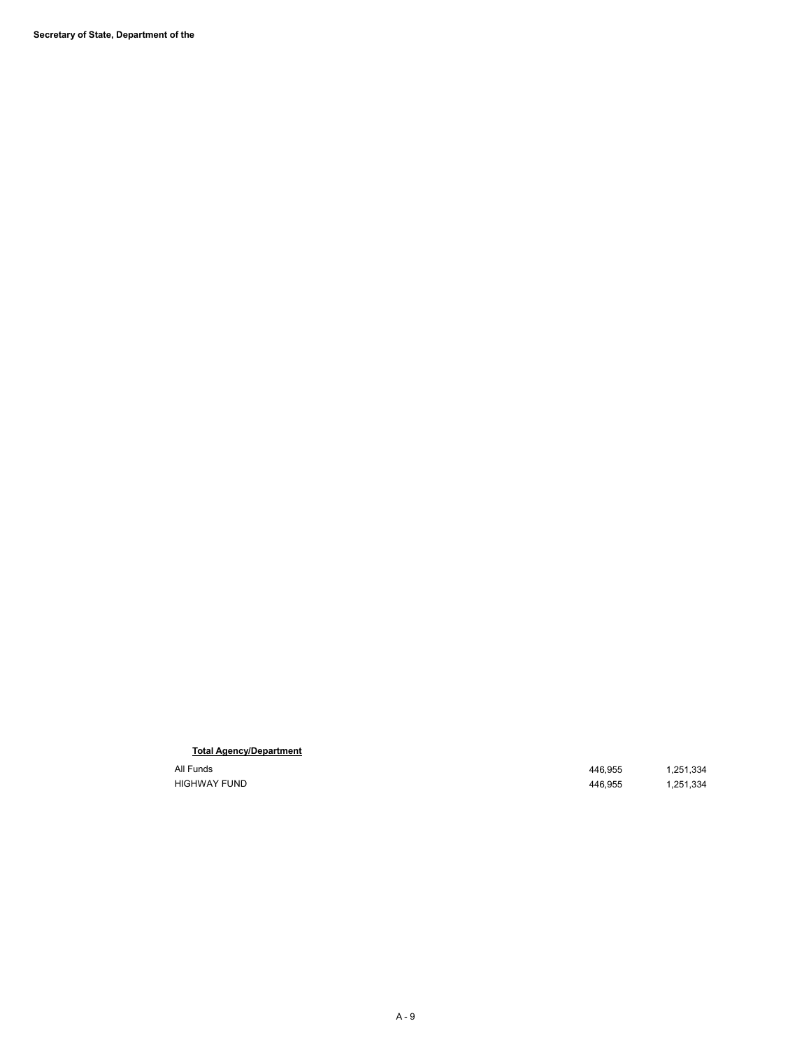Secretary of State, Department of the

## Total Agency/Department

All Funds 446,955 1,251,334 HIGHWAY FUND 1,251,334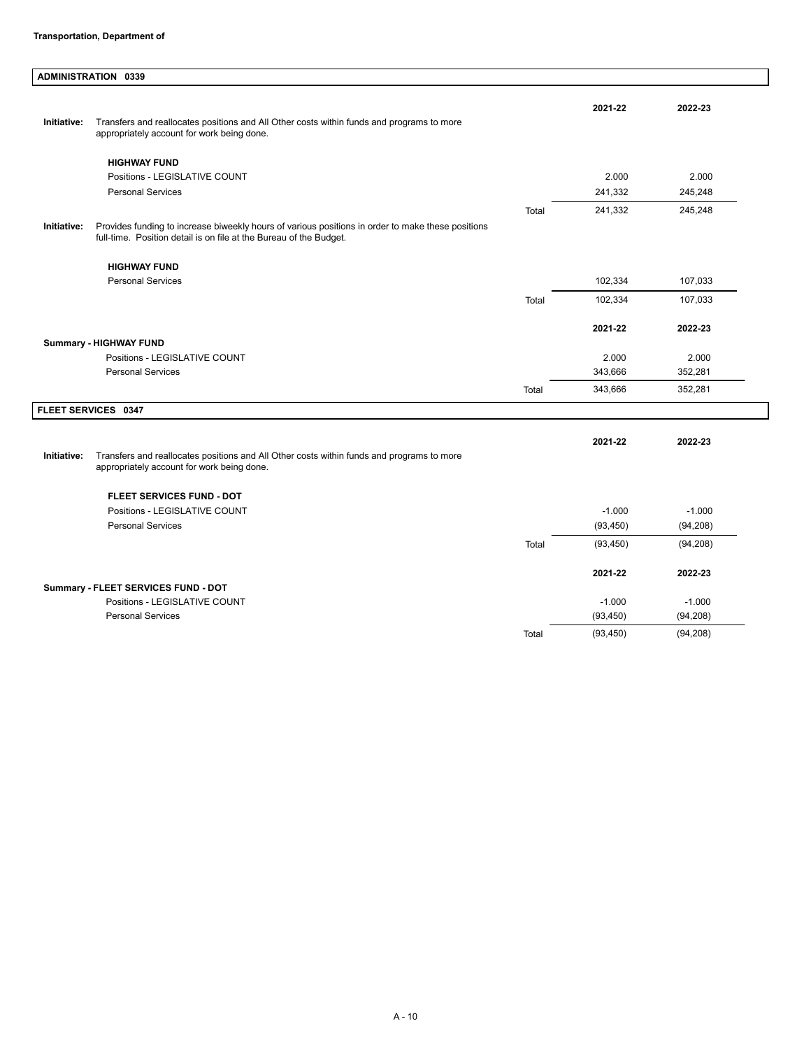|             | <b>ADMINISTRATION 0339</b>                                                                                                                                              |       |           |           |
|-------------|-------------------------------------------------------------------------------------------------------------------------------------------------------------------------|-------|-----------|-----------|
|             |                                                                                                                                                                         |       | 2021-22   | 2022-23   |
| Initiative: | Transfers and reallocates positions and All Other costs within funds and programs to more<br>appropriately account for work being done.                                 |       |           |           |
|             | <b>HIGHWAY FUND</b>                                                                                                                                                     |       |           |           |
|             | Positions - LEGISLATIVE COUNT                                                                                                                                           |       | 2.000     | 2.000     |
|             | <b>Personal Services</b>                                                                                                                                                |       | 241,332   | 245,248   |
|             |                                                                                                                                                                         | Total | 241,332   | 245,248   |
| Initiative: | Provides funding to increase biweekly hours of various positions in order to make these positions<br>full-time. Position detail is on file at the Bureau of the Budget. |       |           |           |
|             | <b>HIGHWAY FUND</b>                                                                                                                                                     |       |           |           |
|             | <b>Personal Services</b>                                                                                                                                                |       | 102,334   | 107,033   |
|             |                                                                                                                                                                         | Total | 102,334   | 107,033   |
|             |                                                                                                                                                                         |       | 2021-22   | 2022-23   |
|             | Summary - HIGHWAY FUND                                                                                                                                                  |       |           |           |
|             | Positions - LEGISLATIVE COUNT                                                                                                                                           |       | 2.000     | 2.000     |
|             | <b>Personal Services</b>                                                                                                                                                |       | 343.666   | 352.281   |
|             |                                                                                                                                                                         | Total | 343,666   | 352,281   |
|             | FLEET SERVICES 0347                                                                                                                                                     |       |           |           |
|             |                                                                                                                                                                         |       | 2021-22   | 2022-23   |
| Initiative: | Transfers and reallocates positions and All Other costs within funds and programs to more<br>appropriately account for work being done.                                 |       |           |           |
|             | FLEET SERVICES FUND - DOT                                                                                                                                               |       |           |           |
|             | Positions - LEGISLATIVE COUNT                                                                                                                                           |       | $-1.000$  | $-1.000$  |
|             | <b>Personal Services</b>                                                                                                                                                |       | (93, 450) | (94, 208) |
|             |                                                                                                                                                                         | Total | (93, 450) | (94, 208) |
|             |                                                                                                                                                                         |       | 2021-22   | 2022-23   |
|             | Summary - FLEET SERVICES FUND - DOT                                                                                                                                     |       |           |           |
|             | Positions - LEGISLATIVE COUNT                                                                                                                                           |       | $-1.000$  | $-1.000$  |
|             | <b>Personal Services</b>                                                                                                                                                |       | (93, 450) | (94, 208) |
|             |                                                                                                                                                                         | Total | (93, 450) | (94, 208) |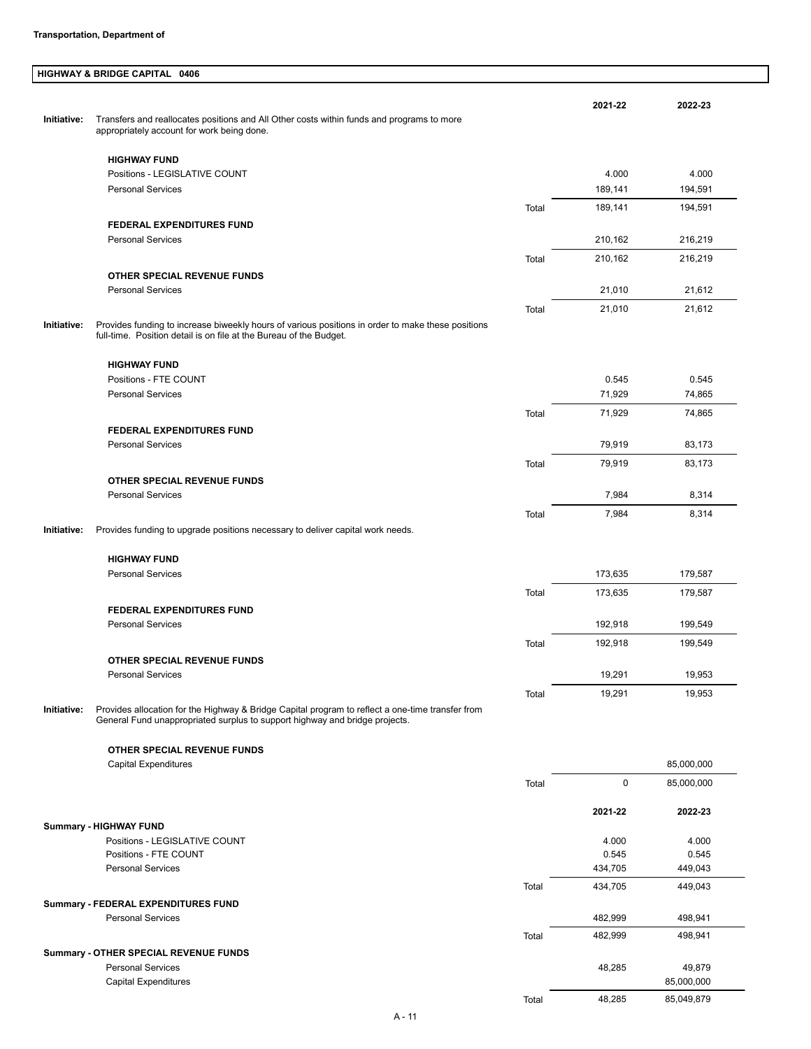|             | HIGHWAY & BRIDGE CAPITAL 0406                                                                                                                                                   |       |           |            |
|-------------|---------------------------------------------------------------------------------------------------------------------------------------------------------------------------------|-------|-----------|------------|
|             |                                                                                                                                                                                 |       | 2021-22   | 2022-23    |
| Initiative: | Transfers and reallocates positions and All Other costs within funds and programs to more<br>appropriately account for work being done.                                         |       |           |            |
|             | <b>HIGHWAY FUND</b>                                                                                                                                                             |       |           |            |
|             | Positions - LEGISLATIVE COUNT                                                                                                                                                   |       | 4.000     | 4.000      |
|             | <b>Personal Services</b>                                                                                                                                                        |       | 189,141   | 194,591    |
|             |                                                                                                                                                                                 | Total | 189,141   | 194,591    |
|             | <b>FEDERAL EXPENDITURES FUND</b>                                                                                                                                                |       |           |            |
|             | <b>Personal Services</b>                                                                                                                                                        |       | 210,162   | 216,219    |
|             |                                                                                                                                                                                 | Total | 210,162   | 216,219    |
|             | OTHER SPECIAL REVENUE FUNDS<br><b>Personal Services</b>                                                                                                                         |       | 21,010    | 21,612     |
|             |                                                                                                                                                                                 | Total | 21,010    | 21,612     |
| Initiative: | Provides funding to increase biweekly hours of various positions in order to make these positions<br>full-time. Position detail is on file at the Bureau of the Budget.         |       |           |            |
|             | <b>HIGHWAY FUND</b>                                                                                                                                                             |       |           |            |
|             | Positions - FTE COUNT                                                                                                                                                           |       | 0.545     | 0.545      |
|             | <b>Personal Services</b>                                                                                                                                                        |       | 71,929    | 74,865     |
|             | <b>FEDERAL EXPENDITURES FUND</b>                                                                                                                                                | Total | 71,929    | 74,865     |
|             | <b>Personal Services</b>                                                                                                                                                        |       | 79,919    | 83,173     |
|             |                                                                                                                                                                                 | Total | 79,919    | 83,173     |
|             | OTHER SPECIAL REVENUE FUNDS                                                                                                                                                     |       |           |            |
|             | <b>Personal Services</b>                                                                                                                                                        |       | 7,984     | 8,314      |
|             |                                                                                                                                                                                 | Total | 7,984     | 8,314      |
| Initiative: | Provides funding to upgrade positions necessary to deliver capital work needs.                                                                                                  |       |           |            |
|             | <b>HIGHWAY FUND</b>                                                                                                                                                             |       |           |            |
|             | <b>Personal Services</b>                                                                                                                                                        |       | 173,635   | 179,587    |
|             |                                                                                                                                                                                 | Total | 173,635   | 179,587    |
|             | <b>FEDERAL EXPENDITURES FUND</b>                                                                                                                                                |       |           |            |
|             | <b>Personal Services</b>                                                                                                                                                        |       | 192,918   | 199,549    |
|             |                                                                                                                                                                                 | Total | 192,918   | 199,549    |
|             | OTHER SPECIAL REVENUE FUNDS                                                                                                                                                     |       |           |            |
|             | <b>Personal Services</b>                                                                                                                                                        |       | 19,291    | 19,953     |
|             |                                                                                                                                                                                 | Total | 19,291    | 19,953     |
| Initiative: | Provides allocation for the Highway & Bridge Capital program to reflect a one-time transfer from<br>General Fund unappropriated surplus to support highway and bridge projects. |       |           |            |
|             | OTHER SPECIAL REVENUE FUNDS                                                                                                                                                     |       |           |            |
|             | <b>Capital Expenditures</b>                                                                                                                                                     |       |           | 85,000,000 |
|             |                                                                                                                                                                                 | Total | $\pmb{0}$ | 85,000,000 |
|             |                                                                                                                                                                                 |       | 2021-22   | 2022-23    |
|             | <b>Summary - HIGHWAY FUND</b><br>Positions - LEGISLATIVE COUNT                                                                                                                  |       | 4.000     | 4.000      |
|             | Positions - FTE COUNT                                                                                                                                                           |       | 0.545     | 0.545      |
|             | <b>Personal Services</b>                                                                                                                                                        |       | 434,705   | 449,043    |
|             |                                                                                                                                                                                 | Total | 434,705   | 449,043    |
|             | Summary - FEDERAL EXPENDITURES FUND                                                                                                                                             |       |           |            |
|             | <b>Personal Services</b>                                                                                                                                                        |       | 482,999   | 498,941    |
|             |                                                                                                                                                                                 | Total | 482,999   | 498,941    |
|             | <b>Summary - OTHER SPECIAL REVENUE FUNDS</b><br><b>Personal Services</b>                                                                                                        |       | 48,285    | 49,879     |
|             | <b>Capital Expenditures</b>                                                                                                                                                     |       |           | 85,000,000 |
|             |                                                                                                                                                                                 | Total | 48,285    | 85,049,879 |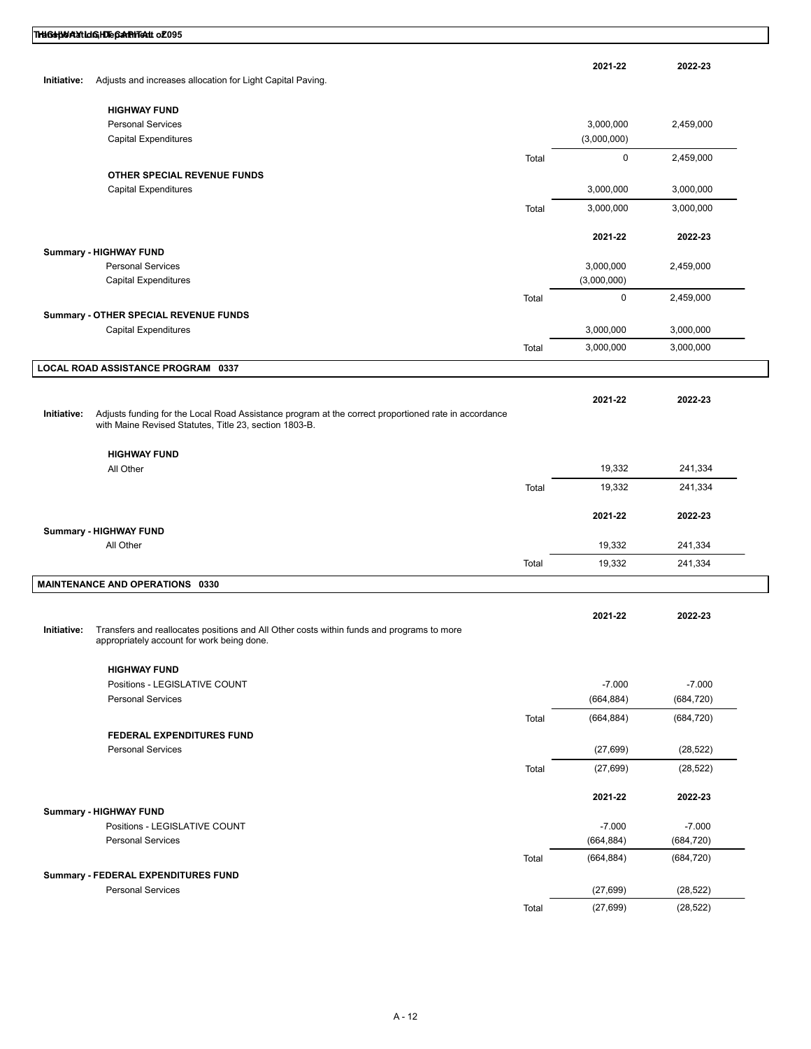Initiative: Adjusts and increases allocation for Light Capital Paving.

| <b>HIGHWAY FUND</b>                                                                                                                                                           |       |             |           |
|-------------------------------------------------------------------------------------------------------------------------------------------------------------------------------|-------|-------------|-----------|
| <b>Personal Services</b>                                                                                                                                                      |       | 3,000,000   | 2,459,000 |
| <b>Capital Expenditures</b>                                                                                                                                                   |       | (3,000,000) |           |
|                                                                                                                                                                               | Total | $\mathbf 0$ | 2,459,000 |
| <b>OTHER SPECIAL REVENUE FUNDS</b>                                                                                                                                            |       |             |           |
| <b>Capital Expenditures</b>                                                                                                                                                   |       | 3,000,000   | 3,000,000 |
|                                                                                                                                                                               | Total | 3,000,000   | 3,000,000 |
|                                                                                                                                                                               |       | 2021-22     | 2022-23   |
| <b>Summary - HIGHWAY FUND</b>                                                                                                                                                 |       |             |           |
| <b>Personal Services</b>                                                                                                                                                      |       | 3,000,000   | 2,459,000 |
| <b>Capital Expenditures</b>                                                                                                                                                   |       | (3,000,000) |           |
|                                                                                                                                                                               | Total | 0           | 2,459,000 |
| <b>Summary - OTHER SPECIAL REVENUE FUNDS</b>                                                                                                                                  |       |             |           |
| <b>Capital Expenditures</b>                                                                                                                                                   |       | 3,000,000   | 3,000,000 |
|                                                                                                                                                                               | Total | 3,000,000   | 3,000,000 |
| LOCAL ROAD ASSISTANCE PROGRAM 0337                                                                                                                                            |       |             |           |
|                                                                                                                                                                               |       | 2021-22     | 2022-23   |
| Initiative:<br>Adjusts funding for the Local Road Assistance program at the correct proportioned rate in accordance<br>with Maine Revised Statutes, Title 23, section 1803-B. |       |             |           |
| <b>HIGHWAY FUND</b>                                                                                                                                                           |       |             |           |
| $\cdots$                                                                                                                                                                      |       |             |           |

2021-22 2022-23

2021-22 2022-23

|                               | All Other                              |       | 19,332  | 241,334 |  |
|-------------------------------|----------------------------------------|-------|---------|---------|--|
|                               |                                        | Total | 19,332  | 241,334 |  |
|                               |                                        |       | 2021-22 | 2022-23 |  |
| <b>Summary - HIGHWAY FUND</b> |                                        |       |         |         |  |
|                               | All Other                              |       | 19,332  | 241,334 |  |
|                               |                                        | Total | 19,332  | 241,334 |  |
|                               | <b>MAINTENANCE AND OPERATIONS 0330</b> |       |         |         |  |

Initiative: Transfers and reallocates positions and All Other costs within funds and programs to more appropriately account for work being done.

| <b>HIGHWAY FUND</b>                 |       |            |            |
|-------------------------------------|-------|------------|------------|
| Positions - LEGISLATIVE COUNT       |       | $-7.000$   | $-7.000$   |
| <b>Personal Services</b>            |       | (664, 884) | (684, 720) |
|                                     | Total | (664, 884) | (684, 720) |
| <b>FEDERAL EXPENDITURES FUND</b>    |       |            |            |
| <b>Personal Services</b>            |       | (27, 699)  | (28, 522)  |
|                                     | Total | (27, 699)  | (28, 522)  |
|                                     |       | 2021-22    | 2022-23    |
| <b>Summary - HIGHWAY FUND</b>       |       |            |            |
| Positions - LEGISLATIVE COUNT       |       | $-7.000$   | $-7.000$   |
| <b>Personal Services</b>            |       | (664, 884) | (684, 720) |
|                                     |       |            |            |
|                                     | Total | (664, 884) | (684, 720) |
| Summary - FEDERAL EXPENDITURES FUND |       |            |            |
| <b>Personal Services</b>            |       | (27, 699)  | (28, 522)  |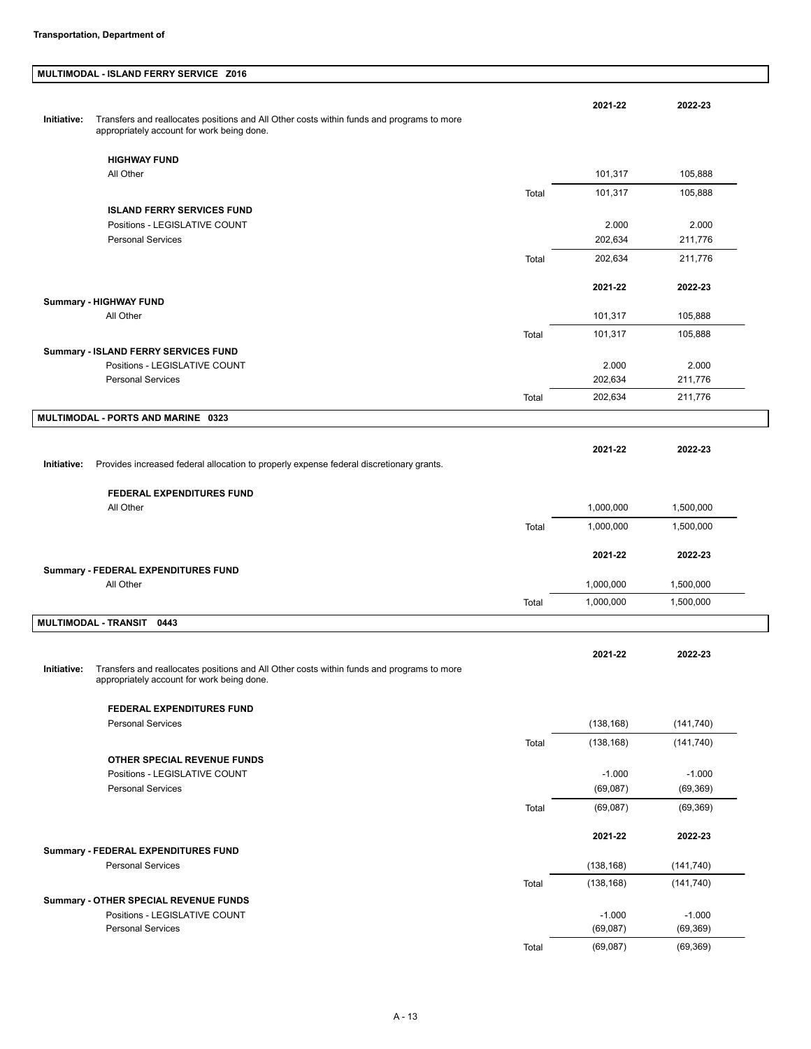|             | MULTIMODAL - ISLAND FERRY SERVICE Z016                                                                                                  |       |            |            |
|-------------|-----------------------------------------------------------------------------------------------------------------------------------------|-------|------------|------------|
|             |                                                                                                                                         |       |            |            |
| Initiative: | Transfers and reallocates positions and All Other costs within funds and programs to more                                               |       | 2021-22    | 2022-23    |
|             | appropriately account for work being done.                                                                                              |       |            |            |
|             | <b>HIGHWAY FUND</b>                                                                                                                     |       |            |            |
|             | All Other                                                                                                                               |       | 101,317    | 105,888    |
|             |                                                                                                                                         | Total | 101,317    | 105,888    |
|             | <b>ISLAND FERRY SERVICES FUND</b>                                                                                                       |       |            |            |
|             | Positions - LEGISLATIVE COUNT                                                                                                           |       | 2.000      | 2.000      |
|             | <b>Personal Services</b>                                                                                                                |       | 202,634    | 211,776    |
|             |                                                                                                                                         | Total | 202,634    | 211,776    |
|             |                                                                                                                                         |       |            |            |
|             | <b>Summary - HIGHWAY FUND</b>                                                                                                           |       | 2021-22    | 2022-23    |
|             | All Other                                                                                                                               |       | 101,317    | 105,888    |
|             |                                                                                                                                         | Total | 101,317    | 105,888    |
|             | Summary - ISLAND FERRY SERVICES FUND                                                                                                    |       |            |            |
|             | Positions - LEGISLATIVE COUNT                                                                                                           |       | 2.000      | 2.000      |
|             | <b>Personal Services</b>                                                                                                                |       | 202,634    | 211,776    |
|             |                                                                                                                                         | Total | 202,634    | 211,776    |
|             | MULTIMODAL - PORTS AND MARINE 0323                                                                                                      |       |            |            |
|             |                                                                                                                                         |       |            |            |
|             |                                                                                                                                         |       | 2021-22    | 2022-23    |
| Initiative: | Provides increased federal allocation to properly expense federal discretionary grants.                                                 |       |            |            |
|             | <b>FEDERAL EXPENDITURES FUND</b>                                                                                                        |       |            |            |
|             | All Other                                                                                                                               |       | 1,000,000  | 1,500,000  |
|             |                                                                                                                                         | Total | 1,000,000  | 1,500,000  |
|             |                                                                                                                                         |       |            |            |
|             |                                                                                                                                         |       | 2021-22    | 2022-23    |
|             | Summary - FEDERAL EXPENDITURES FUND                                                                                                     |       |            |            |
|             | All Other                                                                                                                               |       | 1,000,000  | 1,500,000  |
|             |                                                                                                                                         | Total | 1,000,000  | 1,500,000  |
|             | MULTIMODAL - TRANSIT 0443                                                                                                               |       |            |            |
|             |                                                                                                                                         |       |            |            |
|             |                                                                                                                                         |       | 2021-22    | 2022-23    |
| Initiative: | Transfers and reallocates positions and All Other costs within funds and programs to more<br>appropriately account for work being done. |       |            |            |
|             |                                                                                                                                         |       |            |            |
|             | FEDERAL EXPENDITURES FUND                                                                                                               |       |            |            |
|             | <b>Personal Services</b>                                                                                                                |       | (138, 168) | (141, 740) |
|             |                                                                                                                                         | Total | (138, 168) | (141, 740) |
|             | OTHER SPECIAL REVENUE FUNDS                                                                                                             |       |            |            |
|             | Positions - LEGISLATIVE COUNT                                                                                                           |       | $-1.000$   | $-1.000$   |
|             | <b>Personal Services</b>                                                                                                                |       | (69,087)   | (69, 369)  |
|             |                                                                                                                                         | Total | (69,087)   | (69, 369)  |
|             |                                                                                                                                         |       | 2021-22    | 2022-23    |
|             | Summary - FEDERAL EXPENDITURES FUND                                                                                                     |       |            |            |
|             | <b>Personal Services</b>                                                                                                                |       | (138, 168) | (141, 740) |
|             |                                                                                                                                         | Total | (138, 168) | (141, 740) |
|             | Summary - OTHER SPECIAL REVENUE FUNDS                                                                                                   |       |            |            |
|             | Positions - LEGISLATIVE COUNT                                                                                                           |       | $-1.000$   | $-1.000$   |
|             | <b>Personal Services</b>                                                                                                                |       | (69,087)   | (69, 369)  |
|             |                                                                                                                                         | Total | (69,087)   | (69, 369)  |